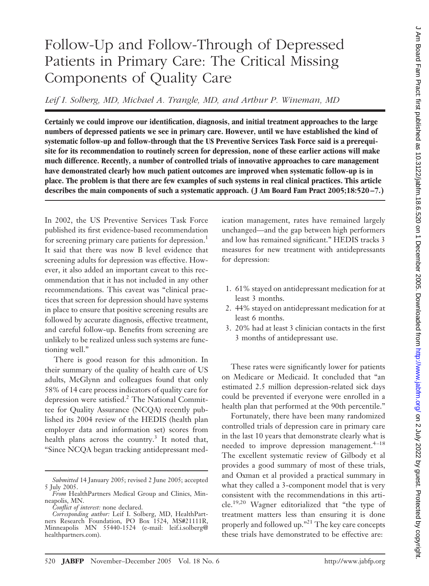# Follow-Up and Follow-Through of Depressed Patients in Primary Care: The Critical Missing Components of Quality Care

*Leif I. Solberg, MD, Michael A. Trangle, MD, and Arthur P. Wineman, MD*

**Certainly we could improve our identification, diagnosis, and initial treatment approaches to the large numbers of depressed patients we see in primary care. However, until we have established the kind of systematic follow-up and follow-through that the US Preventive Services Task Force said is a prerequisite for its recommendation to routinely screen for depression, none of these earlier actions will make much difference. Recently, a number of controlled trials of innovative approaches to care management have demonstrated clearly how much patient outcomes are improved when systematic follow-up is in place. The problem is that there are few examples of such systems in real clinical practices. This article describes the main components of such a systematic approach. ( J Am Board Fam Pract 2005;18:520 –7.)**

In 2002, the US Preventive Services Task Force published its first evidence-based recommendation for screening primary care patients for depression.<sup>1</sup> It said that there was now B level evidence that screening adults for depression was effective. However, it also added an important caveat to this recommendation that it has not included in any other recommendations. This caveat was "clinical practices that screen for depression should have systems in place to ensure that positive screening results are followed by accurate diagnosis, effective treatment, and careful follow-up. Benefits from screening are unlikely to be realized unless such systems are functioning well."

There is good reason for this admonition. In their summary of the quality of health care of US adults, McGlynn and colleagues found that only 58% of 14 care process indicators of quality care for depression were satisfied.2 The National Committee for Quality Assurance (NCQA) recently published its 2004 review of the HEDIS (health plan employer data and information set) scores from health plans across the country.<sup>3</sup> It noted that, "Since NCQA began tracking antidepressant medication management, rates have remained largely unchanged—and the gap between high performers and low has remained significant." HEDIS tracks 3 measures for new treatment with antidepressants for depression:

- 1. 61% stayed on antidepressant medication for at least 3 months.
- 2. 44% stayed on antidepressant medication for at least 6 months.
- 3. 20% had at least 3 clinician contacts in the first 3 months of antidepressant use.

These rates were significantly lower for patients on Medicare or Medicaid. It concluded that "an estimated 2.5 million depression-related sick days could be prevented if everyone were enrolled in a health plan that performed at the 90th percentile."

Fortunately, there have been many randomized controlled trials of depression care in primary care in the last 10 years that demonstrate clearly what is needed to improve depression management.<sup>4-18</sup> The excellent systematic review of Gilbody et al provides a good summary of most of these trials, and Oxman et al provided a practical summary in what they called a 3-component model that is very consistent with the recommendations in this article.19,20 Wagner editorialized that "the type of treatment matters less than ensuring it is done properly and followed up."21 The key care concepts these trials have demonstrated to be effective are:

*Submitted* 14 January 2005; revised 2 June 2005; accepted 5 July 2005.

*From* HealthPartners Medical Group and Clinics, Minneapolis, MN.

*Conflict of interest:* none declared.

*Corresponding author:* Leif I. Solberg, MD, HealthPartners Research Foundation, PO Box 1524, MS#21111R, Minneapolis MN 55440-1524 (e-mail: leif.i.solberg@ healthpartners.com).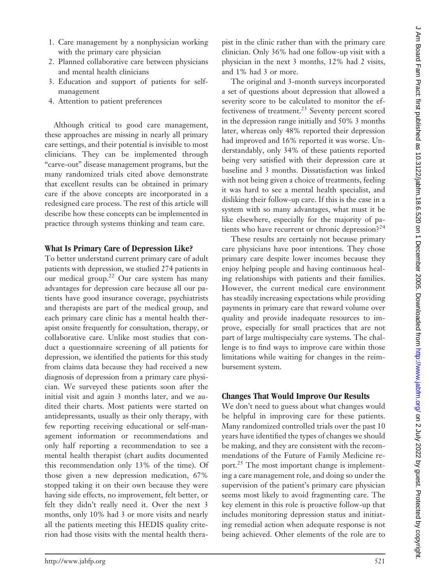- 1. Care management by a nonphysician working with the primary care physician
- 2. Planned collaborative care between physicians and mental health clinicians
- 3. Education and support of patients for selfmanagement
- 4. Attention to patient preferences

Although critical to good care management, these approaches are missing in nearly all primary care settings, and their potential is invisible to most clinicians. They can be implemented through "carve-out" disease management programs, but the many randomized trials cited above demonstrate that excellent results can be obtained in primary care if the above concepts are incorporated in a redesigned care process. The rest of this article will describe how these concepts can be implemented in practice through systems thinking and team care.

#### **What Is Primary Care of Depression Like?**

To better understand current primary care of adult patients with depression, we studied 274 patients in our medical group.<sup>22</sup> Our care system has many advantages for depression care because all our patients have good insurance coverage, psychiatrists and therapists are part of the medical group, and each primary care clinic has a mental health therapist onsite frequently for consultation, therapy, or collaborative care. Unlike most studies that conduct a questionnaire screening of all patients for depression, we identified the patients for this study from claims data because they had received a new diagnosis of depression from a primary care physician. We surveyed these patients soon after the initial visit and again 3 months later, and we audited their charts. Most patients were started on antidepressants, usually as their only therapy, with few reporting receiving educational or self-management information or recommendations and only half reporting a recommendation to see a mental health therapist (chart audits documented this recommendation only 13% of the time). Of those given a new depression medication, 67% stopped taking it on their own because they were having side effects, no improvement, felt better, or felt they didn't really need it. Over the next 3 months, only 10% had 3 or more visits and nearly all the patients meeting this HEDIS quality criterion had those visits with the mental health therapist in the clinic rather than with the primary care clinician. Only 36% had one follow-up visit with a physician in the next 3 months, 12% had 2 visits, and 1% had 3 or more.

The original and 3-month surveys incorporated a set of questions about depression that allowed a severity score to be calculated to monitor the effectiveness of treatment.<sup>23</sup> Seventy percent scored in the depression range initially and 50% 3 months later, whereas only 48% reported their depression had improved and 16% reported it was worse. Understandably, only 34% of these patients reported being very satisfied with their depression care at baseline and 3 months. Dissatisfaction was linked with not being given a choice of treatments, feeling it was hard to see a mental health specialist, and disliking their follow-up care. If this is the case in a system with so many advantages, what must it be like elsewhere, especially for the majority of patients who have recurrent or chronic depression. $e^{24}$ 

These results are certainly not because primary care physicians have poor intentions. They chose primary care despite lower incomes because they enjoy helping people and having continuous healing relationships with patients and their families. However, the current medical care environment has steadily increasing expectations while providing payments in primary care that reward volume over quality and provide inadequate resources to improve, especially for small practices that are not part of large multispecialty care systems. The challenge is to find ways to improve care within those limitations while waiting for changes in the reimbursement system.

#### **Changes That Would Improve Our Results**

We don't need to guess about what changes would be helpful in improving care for these patients. Many randomized controlled trials over the past 10 years have identified the types of changes we should be making, and they are consistent with the recommendations of the Future of Family Medicine report.<sup>25</sup> The most important change is implementing a care management role, and doing so under the supervision of the patient's primary care physician seems most likely to avoid fragmenting care. The key element in this role is proactive follow-up that includes monitoring depression status and initiating remedial action when adequate response is not being achieved. Other elements of the role are to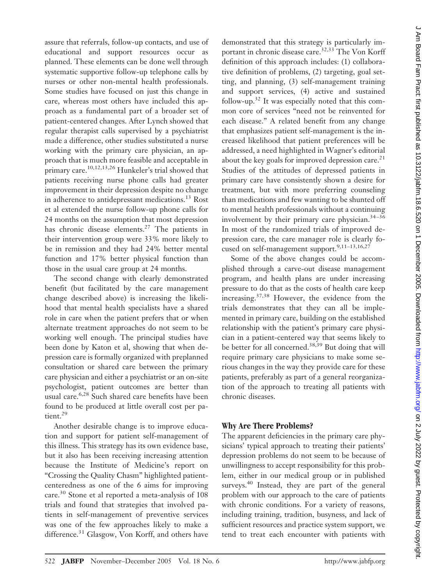assure that referrals, follow-up contacts, and use of educational and support resources occur as planned. These elements can be done well through systematic supportive follow-up telephone calls by nurses or other non-mental health professionals. Some studies have focused on just this change in care, whereas most others have included this approach as a fundamental part of a broader set of patient-centered changes. After Lynch showed that regular therapist calls supervised by a psychiatrist made a difference, other studies substituted a nurse working with the primary care physician, an approach that is much more feasible and acceptable in primary care.10,12,13,26 Hunkeler's trial showed that patients receiving nurse phone calls had greater improvement in their depression despite no change in adherence to antidepressant medications.<sup>13</sup> Rost et al extended the nurse follow-up phone calls for 24 months on the assumption that most depression has chronic disease elements.<sup>27</sup> The patients in their intervention group were 33% more likely to be in remission and they had 24% better mental function and 17% better physical function than those in the usual care group at 24 months.

The second change with clearly demonstrated benefit (but facilitated by the care management change described above) is increasing the likelihood that mental health specialists have a shared role in care when the patient prefers that or when alternate treatment approaches do not seem to be working well enough. The principal studies have been done by Katon et al, showing that when depression care is formally organized with preplanned consultation or shared care between the primary care physician and either a psychiatrist or an on-site psychologist, patient outcomes are better than usual care.<sup>6,28</sup> Such shared care benefits have been found to be produced at little overall cost per patient.<sup>29</sup>

Another desirable change is to improve education and support for patient self-management of this illness. This strategy has its own evidence base, but it also has been receiving increasing attention because the Institute of Medicine's report on "Crossing the Quality Chasm" highlighted patientcenteredness as one of the 6 aims for improving care.30 Stone et al reported a meta-analysis of 108 trials and found that strategies that involved patients in self-management of preventive services was one of the few approaches likely to make a difference.<sup>31</sup> Glasgow, Von Korff, and others have demonstrated that this strategy is particularly important in chronic disease care.<sup>32,33</sup> The Von Korff definition of this approach includes: (1) collaborative definition of problems, (2) targeting, goal setting, and planning, (3) self-management training and support services, (4) active and sustained follow-up.32 It was especially noted that this common core of services "need not be reinvented for each disease." A related benefit from any change that emphasizes patient self-management is the increased likelihood that patient preferences will be addressed, a need highlighted in Wagner's editorial about the key goals for improved depression care.<sup>21</sup> Studies of the attitudes of depressed patients in primary care have consistently shown a desire for treatment, but with more preferring counseling than medications and few wanting to be shunted off to mental health professionals without a continuing involvement by their primary care physician. $34-36$ In most of the randomized trials of improved depression care, the care manager role is clearly focused on self-management support.<sup>9,11-13,16,27</sup>

Some of the above changes could be accomplished through a carve-out disease management program, and health plans are under increasing pressure to do that as the costs of health care keep increasing.37,38 However, the evidence from the trials demonstrates that they can all be implemented in primary care, building on the established relationship with the patient's primary care physician in a patient-centered way that seems likely to be better for all concerned.38,39 But doing that will require primary care physicians to make some serious changes in the way they provide care for these patients, preferably as part of a general reorganization of the approach to treating all patients with chronic diseases.

## **Why Are There Problems?**

The apparent deficiencies in the primary care physicians' typical approach to treating their patients' depression problems do not seem to be because of unwillingness to accept responsibility for this problem, either in our medical group or in published surveys.<sup>40</sup> Instead, they are part of the general problem with our approach to the care of patients with chronic conditions. For a variety of reasons, including training, tradition, busyness, and lack of sufficient resources and practice system support, we tend to treat each encounter with patients with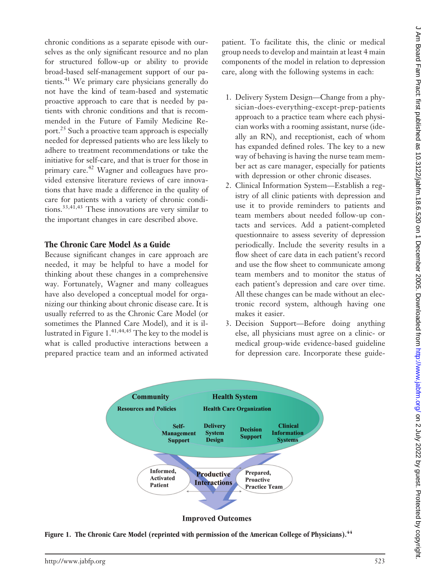chronic conditions as a separate episode with ourselves as the only significant resource and no plan for structured follow-up or ability to provide broad-based self-management support of our patients.41 We primary care physicians generally do not have the kind of team-based and systematic proactive approach to care that is needed by patients with chronic conditions and that is recommended in the Future of Family Medicine Report.25 Such a proactive team approach is especially needed for depressed patients who are less likely to adhere to treatment recommendations or take the initiative for self-care, and that is truer for those in primary care.<sup>42</sup> Wagner and colleagues have provided extensive literature reviews of care innovations that have made a difference in the quality of care for patients with a variety of chronic conditions.33,41,43 These innovations are very similar to the important changes in care described above.

## **The Chronic Care Model As a Guide**

Because significant changes in care approach are needed, it may be helpful to have a model for thinking about these changes in a comprehensive way. Fortunately, Wagner and many colleagues have also developed a conceptual model for organizing our thinking about chronic disease care. It is usually referred to as the Chronic Care Model (or sometimes the Planned Care Model), and it is illustrated in Figure  $1.^{41,44,45}$  The key to the model is what is called productive interactions between a prepared practice team and an informed activated patient. To facilitate this, the clinic or medical group needs to develop and maintain at least 4 main components of the model in relation to depression care, along with the following systems in each:

- 1. Delivery System Design—Change from a physician-does-everything-except-prep-patients approach to a practice team where each physician works with a rooming assistant, nurse (ideally an RN), and receptionist, each of whom has expanded defined roles. The key to a new way of behaving is having the nurse team member act as care manager, especially for patients with depression or other chronic diseases.
- 2. Clinical Information System—Establish a registry of all clinic patients with depression and use it to provide reminders to patients and team members about needed follow-up contacts and services. Add a patient-completed questionnaire to assess severity of depression periodically. Include the severity results in a flow sheet of care data in each patient's record and use the flow sheet to communicate among team members and to monitor the status of each patient's depression and care over time. All these changes can be made without an electronic record system, although having one makes it easier.
- 3. Decision Support—Before doing anything else, all physicians must agree on a clinic- or medical group-wide evidence-based guideline for depression care. Incorporate these guide-



Figure 1. The Chronic Care Model (reprinted with permission of the American College of Physicians).<sup>44</sup>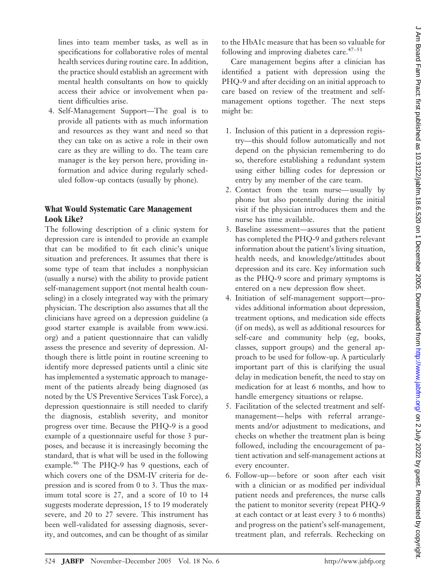lines into team member tasks, as well as in specifications for collaborative roles of mental health services during routine care. In addition, the practice should establish an agreement with mental health consultants on how to quickly access their advice or involvement when patient difficulties arise.

4. Self-Management Support—The goal is to provide all patients with as much information and resources as they want and need so that they can take on as active a role in their own care as they are willing to do. The team care manager is the key person here, providing information and advice during regularly scheduled follow-up contacts (usually by phone).

## **What Would Systematic Care Management Look Like?**

The following description of a clinic system for depression care is intended to provide an example that can be modified to fit each clinic's unique situation and preferences. It assumes that there is some type of team that includes a nonphysician (usually a nurse) with the ability to provide patient self-management support (not mental health counseling) in a closely integrated way with the primary physician. The description also assumes that all the clinicians have agreed on a depression guideline (a good starter example is available from www.icsi. org) and a patient questionnaire that can validly assess the presence and severity of depression. Although there is little point in routine screening to identify more depressed patients until a clinic site has implemented a systematic approach to management of the patients already being diagnosed (as noted by the US Preventive Services Task Force), a depression questionnaire is still needed to clarify the diagnosis, establish severity, and monitor progress over time. Because the PHQ-9 is a good example of a questionnaire useful for those 3 purposes, and because it is increasingly becoming the standard, that is what will be used in the following example.<sup>46</sup> The PHQ-9 has 9 questions, each of which covers one of the DSM-IV criteria for depression and is scored from 0 to 3. Thus the maximum total score is 27, and a score of 10 to 14 suggests moderate depression, 15 to 19 moderately severe, and 20 to 27 severe. This instrument has been well-validated for assessing diagnosis, severity, and outcomes, and can be thought of as similar

to the HbA1c measure that has been so valuable for following and improving diabetes care. $47-51$ 

Care management begins after a clinician has identified a patient with depression using the PHQ-9 and after deciding on an initial approach to care based on review of the treatment and selfmanagement options together. The next steps might be:

- 1. Inclusion of this patient in a depression registry—this should follow automatically and not depend on the physician remembering to do so, therefore establishing a redundant system using either billing codes for depression or entry by any member of the care team.
- 2. Contact from the team nurse— usually by phone but also potentially during the initial visit if the physician introduces them and the nurse has time available.
- 3. Baseline assessment—assures that the patient has completed the PHQ-9 and gathers relevant information about the patient's living situation, health needs, and knowledge/attitudes about depression and its care. Key information such as the PHQ-9 score and primary symptoms is entered on a new depression flow sheet.
- 4. Initiation of self-management support—provides additional information about depression, treatment options, and medication side effects (if on meds), as well as additional resources for self-care and community help (eg, books, classes, support groups) and the general approach to be used for follow-up. A particularly important part of this is clarifying the usual delay in medication benefit, the need to stay on medication for at least 6 months, and how to handle emergency situations or relapse.
- 5. Facilitation of the selected treatment and selfmanagement— helps with referral arrangements and/or adjustment to medications, and checks on whether the treatment plan is being followed, including the encouragement of patient activation and self-management actions at every encounter.
- 6. Follow-up— before or soon after each visit with a clinician or as modified per individual patient needs and preferences, the nurse calls the patient to monitor severity (repeat PHQ-9 at each contact or at least every 3 to 6 months) and progress on the patient's self-management, treatment plan, and referrals. Rechecking on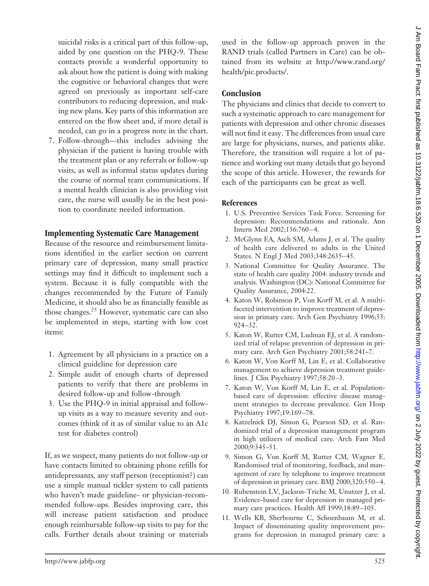suicidal risks is a critical part of this follow-up, aided by one question on the PHQ-9. These contacts provide a wonderful opportunity to ask about how the patient is doing with making the cognitive or behavioral changes that were agreed on previously as important self-care contributors to reducing depression, and making new plans. Key parts of this information are entered on the flow sheet and, if more detail is needed, can go in a progress note in the chart.

7. Follow-through—this includes advising the physician if the patient is having trouble with the treatment plan or any referrals or follow-up visits, as well as informal status updates during the course of normal team communications. If a mental health clinician is also providing visit care, the nurse will usually be in the best position to coordinate needed information.

#### **Implementing Systematic Care Management**

Because of the resource and reimbursement limitations identified in the earlier section on current primary care of depression, many small practice settings may find it difficult to implement such a system. Because it is fully compatible with the changes recommended by the Future of Family Medicine, it should also be as financially feasible as those changes.<sup>25</sup> However, systematic care can also be implemented in steps, starting with low cost items:

- 1. Agreement by all physicians in a practice on a clinical guideline for depression care
- 2. Simple audit of enough charts of depressed patients to verify that there are problems in desired follow-up and follow-through
- 3. Use the PHQ-9 in initial appraisal and followup visits as a way to measure severity and outcomes (think of it as of similar value to an A1c test for diabetes control)

If, as we suspect, many patients do not follow-up or have contacts limited to obtaining phone refills for antidepressants, any staff person (receptionist?) can use a simple manual tickler system to call patients who haven't made guideline- or physician-recommended follow-ups. Besides improving care, this will increase patient satisfaction and produce enough reimbursable follow-up visits to pay for the calls. Further details about training or materials used in the follow-up approach proven in the RAND trials (called Partners in Care) can be obtained from its website at http://www.rand.org/ health/pic.products/.

## **Conclusion**

The physicians and clinics that decide to convert to such a systematic approach to care management for patients with depression and other chronic diseases will not find it easy. The differences from usual care are large for physicians, nurses, and patients alike. Therefore, the transition will require a lot of patience and working out many details that go beyond the scope of this article. However, the rewards for each of the participants can be great as well.

## **References**

- 1. U.S. Preventive Services Task Force. Screening for depression: Recommendations and rationale. Ann Intern Med 2002;136:760 – 4.
- 2. McGlynn EA, Asch SM, Adams J, et al. The quality of health care delivered to adults in the United States. N Engl J Med 2003;348:2635– 45.
- 3. National Committee for Quality Assurance. The state of health care quality 2004: industry trends and analysis. Washington (DC): National Committee for Quality Assurance, 2004:22.
- 4. Katon W, Robinson P, Von Korff M, et al. A multifaceted intervention to improve treatment of depression in primary care. Arch Gen Psychiatry 1996;53: 924 –32.
- 5. Katon W, Rutter CM, Ludman EJ, et al. A randomized trial of relapse prevention of depression in primary care. Arch Gen Psychiatry 2001;58:241–7.
- 6. Katon W, Von Korff M, Lin E, et al. Collaborative management to achieve depression treatment guidelines. J Clin Psychiatry 1997;58:20 –3.
- 7. Katon W, Von Korff M, Lin E, et al. Populationbased care of depression: effective disease managment strategies to decrease prevalence. Gen Hosp Psychiatry 1997;19:169 –78.
- 8. Katzelnick DJ, Simon G, Pearson SD, et al. Randomized trial of a depression management program in high utilizers of medical care. Arch Fam Med 2000;9:345–51.
- 9. Simon G, Von Korff M, Rutter CM, Wagner E. Randomised trial of monitoring, feedback, and management of care by telephone to improve treatment of depression in primary care. BMJ 2000;320:550 – 4.
- 10. Rubenstein LV, Jackson-Triche M, Unutzer J, et al. Evidence-based care for depression in managed primary care practices. Health Aff 1999;18:89 –105.
- 11. Wells KB, Sherbourne C, Schoenbaum M, et al. Impact of disseminating quality improvement programs for depression in managed primary care: a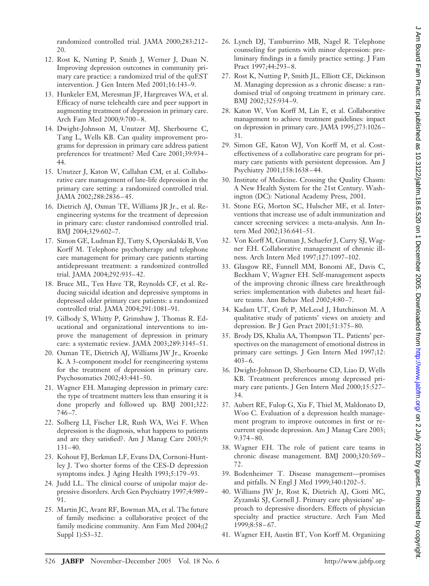randomized controlled trial. JAMA 2000;283:212– 20.

- 12. Rost K, Nutting P, Smith J, Werner J, Duan N. Improving depression outcomes in community primary care practice: a randomized trial of the quEST intervention. J Gen Intern Med 2001;16:143–9.
- 13. Hunkeler EM, Meresman JF, Hargreaves WA, et al. Efficacy of nurse telehealth care and peer support in augmenting treatment of depression in primary care. Arch Fam Med 2000;9:700 – 8.
- 14. Dwight-Johnson M, Unutzer MJ, Sherbourne C, Tang L, Wells KB. Can quality improvement programs for depression in primary care address patient preferences for treatment? Med Care 2001;39:934 – 44.
- 15. Unutzer J, Katon W, Callahan CM, et al. Collaborative care management of late-life depression in the primary care setting: a randomized controlled trial. JAMA 2002;288:2836 – 45.
- 16. Dietrich AJ, Oxman TE, Williams JR Jr., et al. Reengineering systems for the treatment of depression in primary care: cluster randomised controlled trial. BMJ 2004;329:602–7.
- 17. Simon GE, Ludman EJ, Tutty S, Operskalski B, Von Korff M. Telephone psychotherapy and telephone care management for primary care patients starting antidepressant treatment: a randomized controlled trial. JAMA 2004;292:935– 42.
- 18. Bruce ML, Ten Have TR, Reynolds CF, et al. Reducing suicidal ideation and depressive symptoms in depressed older primary care patients: a randomized controlled trial. JAMA 2004;291:1081–91.
- 19. Gilbody S, Whitty P, Grimshaw J, Thomas R. Educational and organizational interventions to improve the management of depression in primary care: a systematic review. JAMA 2003;289:3145–51.
- 20. Oxman TE, Dietrich AJ, Williams JW Jr., Kroenke K. A 3-component model for reengineering systems for the treatment of depression in primary care. Psychosomatics 2002;43:441–50.
- 21. Wagner EH. Managing depression in primary care: the type of treatment matters less than ensuring it is done properly and followed up. BMJ 2001;322:  $746 - 7.$
- 22. Solberg LI, Fischer LR, Rush WA, Wei F. When depression is the diagnosis, what happens to patients and are they satisfied?. Am J Manag Care 2003;9:  $131 - 40.$
- 23. Kohout FJ, Berkman LF, Evans DA, Cornoni-Huntley J. Two shorter forms of the CES-D depression symptoms index. J Aging Health 1993;5:179 –93.
- 24. Judd LL. The clinical course of unipolar major depressive disorders. Arch Gen Psychiatry 1997;4:989 – 91.
- 25. Martin JC, Avant RF, Bowman MA, et al. The future of family medicine: a collaborative project of the family medicine community. Ann Fam Med 2004;(2 Suppl 1):S3–32.
- 26. Lynch DJ, Tamburrino MB, Nagel R. Telephone counseling for patients with minor depression: preliminary findings in a family practice setting. J Fam Pract 1997;44:293– 8.
- 27. Rost K, Nutting P, Smith JL, Elliott CE, Dickinson M. Managing depression as a chronic disease: a randomised trial of ongoing treatment in primary care. BMJ 2002;325:934 –9.
- 28. Katon W, Von Korff M, Lin E, et al. Collaborative management to achieve treatment guidelines: impact on depression in primary care. JAMA 1995;273:1026 – 31.
- 29. Simon GE, Katon WJ, Von Korff M, et al. Costeffectiveness of a collaborative care program for primary care patients with persistent depression. Am J Psychiatry 2001;158:1638 – 44.
- 30. Institute of Medicine. Crossing the Quality Chasm: A New Health System for the 21st Century. Washington (DC): National Academy Press, 2001.
- 31. Stone EG, Morton SC, Hulscher ME, et al. Interventions that increase use of adult immunization and cancer screening services: a meta-analysis. Ann Intern Med 2002;136:641–51.
- 32. Von Korff M, Gruman J, Schaefer J, Curry SJ, Wagner EH. Collaborative management of chronic illness. Arch Intern Med 1997;127:1097–102.
- 33. Glasgow RE, Funnell MM, Bonomi AE, Davis C, Beckham V, Wagner EH. Self-management aspects of the improving chronic illness care breakthrough series: implementation with diabetes and heart failure teams. Ann Behav Med 2002;4:80 –7.
- 34. Kadam UT, Croft P, McLeod J, Hutchinson M. A qualitative study of patients' views on anxiety and depression. Br J Gen Pract 2001;51:375– 80.
- 35. Brody DS, Khalia AA, Thompson TL. Patients' perspectives on the management of emotional distress in primary care settings. J Gen Intern Med 1997;12:  $403-6.$
- 36. Dwight-Johnson D, Sherbourne CD, Liao D, Wells KB. Treatment preferences among depressed primary care patients. J Gen Intern Med 2000;15:527– 34.
- 37. Aubert RE, Fulop G, Xia F, Thiel M, Maldonato D, Woo C. Evaluation of a depression health management program to improve outcomes in first or recurrent episode depression. Am J Manag Care 2003; 9:374 – 80.
- 38. Wagner EH. The role of patient care teams in chronic disease management. BMJ 2000;320:569 – 72.
- 39. Bodenheimer T. Disease management—promises and pitfalls. N Engl J Med 1999;340:1202–5.
- 40. Williams JW Jr, Rost K, Dietrich AJ, Ciotti MC, Zyzanski SJ, Cornell J. Primary care physicians' approach to depressive disorders. Effects of physician specialty and practice structure. Arch Fam Med 1999;8:58 – 67.
- 41. Wagner EH, Austin BT, Von Korff M. Organizing